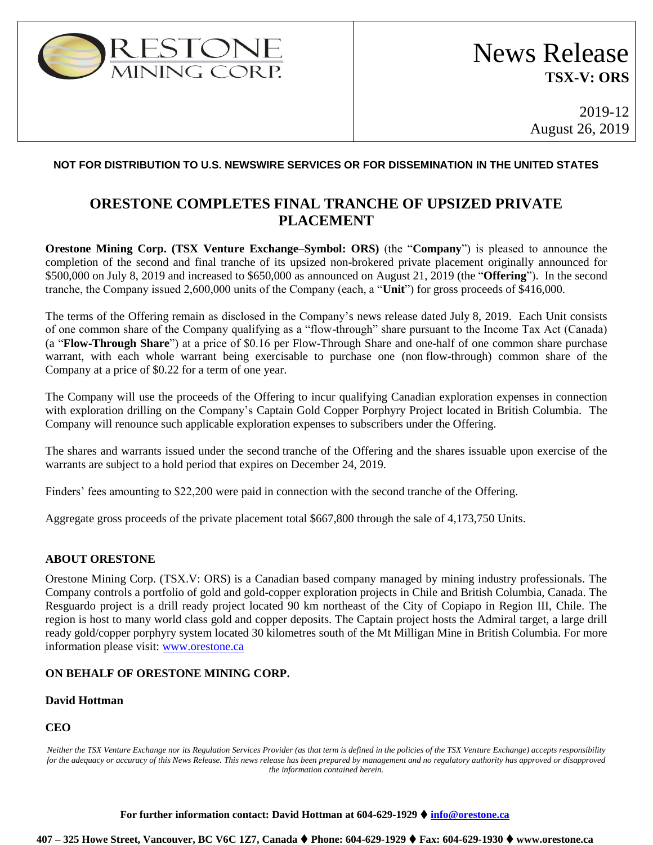

# News Release **TSX-V: ORS**

2019-12 August 26, 2019

#### **NOT FOR DISTRIBUTION TO U.S. NEWSWIRE SERVICES OR FOR DISSEMINATION IN THE UNITED STATES**

# **ORESTONE COMPLETES FINAL TRANCHE OF UPSIZED PRIVATE PLACEMENT**

**Orestone Mining Corp. (TSX Venture Exchange–Symbol: ORS)** (the "**Company**") is pleased to announce the completion of the second and final tranche of its upsized non-brokered private placement originally announced for \$500,000 on July 8, 2019 and increased to \$650,000 as announced on August 21, 2019 (the "**Offering**"). In the second tranche, the Company issued 2,600,000 units of the Company (each, a "**Unit**") for gross proceeds of \$416,000.

The terms of the Offering remain as disclosed in the Company's news release dated July 8, 2019. Each Unit consists of one common share of the Company qualifying as a "flow-through" share pursuant to the Income Tax Act (Canada) (a "**Flow-Through Share**") at a price of \$0.16 per Flow-Through Share and one-half of one common share purchase warrant, with each whole warrant being exercisable to purchase one (non flow-through) common share of the Company at a price of \$0.22 for a term of one year.

The Company will use the proceeds of the Offering to incur qualifying Canadian exploration expenses in connection with exploration drilling on the Company's Captain Gold Copper Porphyry Project located in British Columbia. The Company will renounce such applicable exploration expenses to subscribers under the Offering.

The shares and warrants issued under the second tranche of the Offering and the shares issuable upon exercise of the warrants are subject to a hold period that expires on December 24, 2019.

Finders' fees amounting to \$22,200 were paid in connection with the second tranche of the Offering.

Aggregate gross proceeds of the private placement total \$667,800 through the sale of 4,173,750 Units.

## **ABOUT ORESTONE**

Orestone Mining Corp. (TSX.V: ORS) is a Canadian based company managed by mining industry professionals. The Company controls a portfolio of gold and gold-copper exploration projects in Chile and British Columbia, Canada. The Resguardo project is a drill ready project located 90 km northeast of the City of Copiapo in Region III, Chile. The region is host to many world class gold and copper deposits. The Captain project hosts the Admiral target, a large drill ready gold/copper porphyry system located 30 kilometres south of the Mt Milligan Mine in British Columbia. For more information please visit: [www.orestone.ca](http://www.orestone.ca/)

## **ON BEHALF OF ORESTONE MINING CORP.**

#### **David Hottman**

## **CEO**

*Neither the TSX Venture Exchange nor its Regulation Services Provider (as that term is defined in the policies of the TSX Venture Exchange) accepts responsibility for the adequacy or accuracy of this News Release. This news release has been prepared by management and no regulatory authority has approved or disapproved the information contained herein.*

**For further information contact: David Hottman at 604-629-1929** ⧫ **[info@orestone.ca](mailto:info@orestone.ca)**